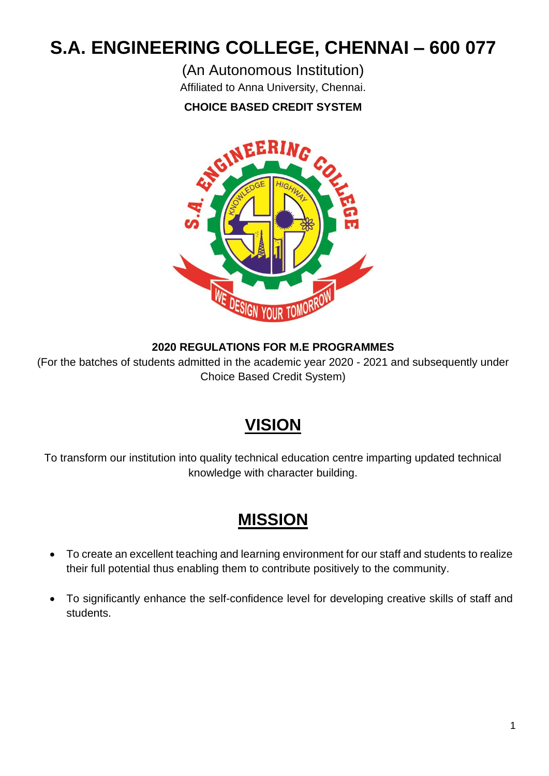# **S.A. ENGINEERING COLLEGE, CHENNAI – 600 077**

(An Autonomous Institution)

Affiliated to Anna University, Chennai.

# **CHOICE BASED CREDIT SYSTEM**



# **2020 REGULATIONS FOR M.E PROGRAMMES**

(For the batches of students admitted in the academic year 2020 - 2021 and subsequently under Choice Based Credit System)

# **VISION**

To transform our institution into quality technical education centre imparting updated technical knowledge with character building.

# **MISSION**

- To create an excellent teaching and learning environment for our staff and students to realize their full potential thus enabling them to contribute positively to the community.
- To significantly enhance the self-confidence level for developing creative skills of staff and students.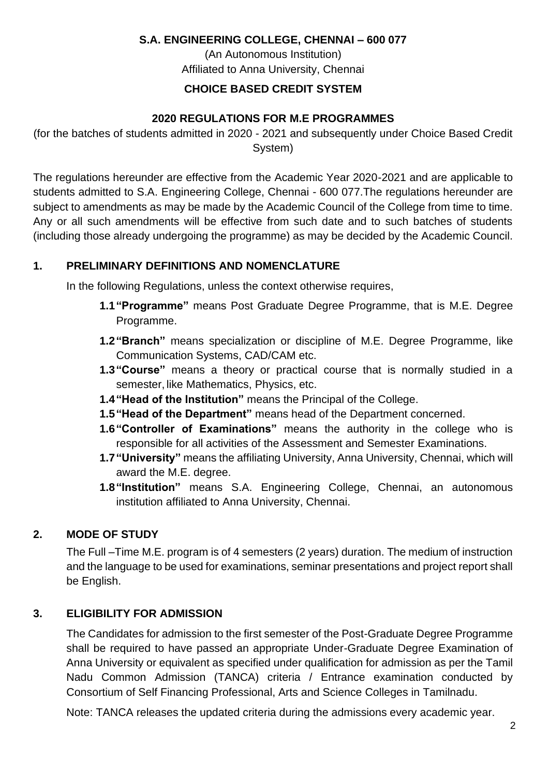### **S.A. ENGINEERING COLLEGE, CHENNAI – 600 077**

(An Autonomous Institution) Affiliated to Anna University, Chennai

# **CHOICE BASED CREDIT SYSTEM**

# **2020 REGULATIONS FOR M.E PROGRAMMES**

(for the batches of students admitted in 2020 - 2021 and subsequently under Choice Based Credit System)

The regulations hereunder are effective from the Academic Year 2020-2021 and are applicable to students admitted to S.A. Engineering College, Chennai - 600 077.The regulations hereunder are subject to amendments as may be made by the Academic Council of the College from time to time. Any or all such amendments will be effective from such date and to such batches of students (including those already undergoing the programme) as may be decided by the Academic Council.

# **1. PRELIMINARY DEFINITIONS AND NOMENCLATURE**

In the following Regulations, unless the context otherwise requires,

- **1.1"Programme"** means Post Graduate Degree Programme, that is M.E. Degree Programme.
- **1.2"Branch"** means specialization or discipline of M.E. Degree Programme, like Communication Systems, CAD/CAM etc.
- **1.3"Course"** means a theory or practical course that is normally studied in a semester, like Mathematics, Physics, etc.
- **1.4"Head of the Institution"** means the Principal of the College.
- **1.5"Head of the Department"** means head of the Department concerned.
- **1.6"Controller of Examinations"** means the authority in the college who is responsible for all activities of the Assessment and Semester Examinations.
- **1.7"University"** means the affiliating University, Anna University, Chennai, which will award the M.E. degree.
- **1.8"Institution"** means S.A. Engineering College, Chennai, an autonomous institution affiliated to Anna University, Chennai.

# **2. MODE OF STUDY**

The Full –Time M.E. program is of 4 semesters (2 years) duration. The medium of instruction and the language to be used for examinations, seminar presentations and project report shall be English.

# **3. ELIGIBILITY FOR ADMISSION**

The Candidates for admission to the first semester of the Post-Graduate Degree Programme shall be required to have passed an appropriate Under-Graduate Degree Examination of Anna University or equivalent as specified under qualification for admission as per the Tamil Nadu Common Admission (TANCA) criteria / Entrance examination conducted by Consortium of Self Financing Professional, Arts and Science Colleges in Tamilnadu.

Note: TANCA releases the updated criteria during the admissions every academic year.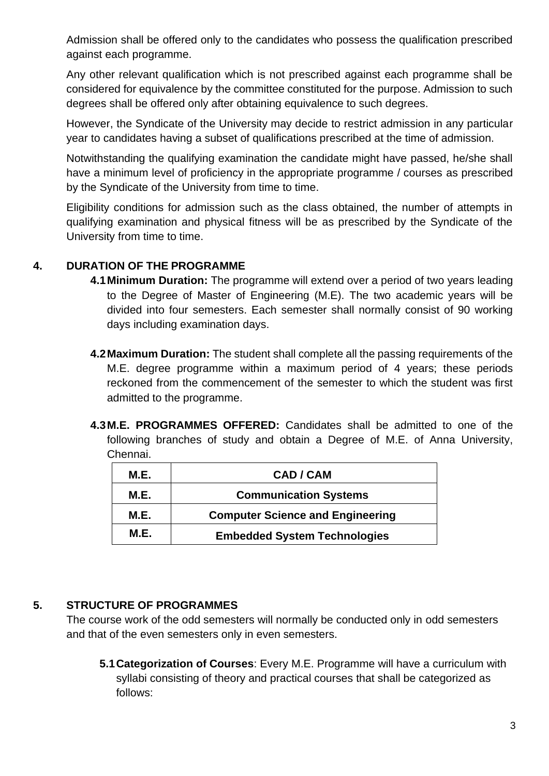Admission shall be offered only to the candidates who possess the qualification prescribed against each programme.

Any other relevant qualification which is not prescribed against each programme shall be considered for equivalence by the committee constituted for the purpose. Admission to such degrees shall be offered only after obtaining equivalence to such degrees.

However, the Syndicate of the University may decide to restrict admission in any particular year to candidates having a subset of qualifications prescribed at the time of admission.

Notwithstanding the qualifying examination the candidate might have passed, he/she shall have a minimum level of proficiency in the appropriate programme / courses as prescribed by the Syndicate of the University from time to time.

Eligibility conditions for admission such as the class obtained, the number of attempts in qualifying examination and physical fitness will be as prescribed by the Syndicate of the University from time to time.

#### **4. DURATION OF THE PROGRAMME**

- **4.1Minimum Duration:** The programme will extend over a period of two years leading to the Degree of Master of Engineering (M.E). The two academic years will be divided into four semesters. Each semester shall normally consist of 90 working days including examination days.
- **4.2Maximum Duration:** The student shall complete all the passing requirements of the M.E. degree programme within a maximum period of 4 years; these periods reckoned from the commencement of the semester to which the student was first admitted to the programme.
- **4.3M.E. PROGRAMMES OFFERED:** Candidates shall be admitted to one of the following branches of study and obtain a Degree of M.E. of Anna University, Chennai.

| <b>M.E.</b> | <b>CAD / CAM</b>                        |
|-------------|-----------------------------------------|
| <b>M.E.</b> | <b>Communication Systems</b>            |
| M.E.        | <b>Computer Science and Engineering</b> |
| <b>M.E.</b> | <b>Embedded System Technologies</b>     |

#### **5. STRUCTURE OF PROGRAMMES**

The course work of the odd semesters will normally be conducted only in odd semesters and that of the even semesters only in even semesters.

**5.1Categorization of Courses**: Every M.E. Programme will have a curriculum with syllabi consisting of theory and practical courses that shall be categorized as follows: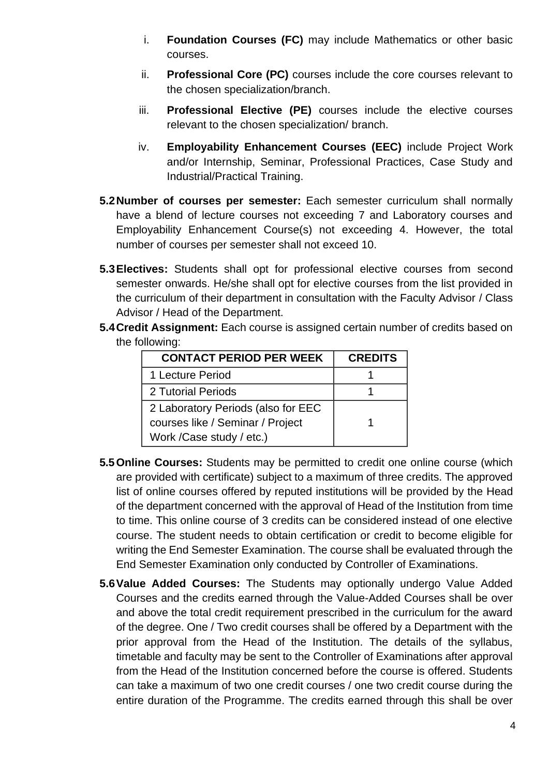- i. **Foundation Courses (FC)** may include Mathematics or other basic courses.
- ii. **Professional Core (PC)** courses include the core courses relevant to the chosen specialization/branch.
- iii. **Professional Elective (PE)** courses include the elective courses relevant to the chosen specialization/ branch.
- iv. **Employability Enhancement Courses (EEC)** include Project Work and/or Internship, Seminar, Professional Practices, Case Study and Industrial/Practical Training.
- **5.2Number of courses per semester:** Each semester curriculum shall normally have a blend of lecture courses not exceeding 7 and Laboratory courses and Employability Enhancement Course(s) not exceeding 4. However, the total number of courses per semester shall not exceed 10.
- **5.3Electives:** Students shall opt for professional elective courses from second semester onwards. He/she shall opt for elective courses from the list provided in the curriculum of their department in consultation with the Faculty Advisor / Class Advisor / Head of the Department.
- **5.4Credit Assignment:** Each course is assigned certain number of credits based on the following:

| <b>CONTACT PERIOD PER WEEK</b>     | <b>CREDITS</b> |
|------------------------------------|----------------|
| 1 Lecture Period                   |                |
| 2 Tutorial Periods                 |                |
| 2 Laboratory Periods (also for EEC |                |
| courses like / Seminar / Project   |                |
| Work / Case study / etc.)          |                |

- **5.5Online Courses:** Students may be permitted to credit one online course (which are provided with certificate) subject to a maximum of three credits. The approved list of online courses offered by reputed institutions will be provided by the Head of the department concerned with the approval of Head of the Institution from time to time. This online course of 3 credits can be considered instead of one elective course. The student needs to obtain certification or credit to become eligible for writing the End Semester Examination. The course shall be evaluated through the End Semester Examination only conducted by Controller of Examinations.
- **5.6Value Added Courses:** The Students may optionally undergo Value Added Courses and the credits earned through the Value-Added Courses shall be over and above the total credit requirement prescribed in the curriculum for the award of the degree. One / Two credit courses shall be offered by a Department with the prior approval from the Head of the Institution. The details of the syllabus, timetable and faculty may be sent to the Controller of Examinations after approval from the Head of the Institution concerned before the course is offered. Students can take a maximum of two one credit courses / one two credit course during the entire duration of the Programme. The credits earned through this shall be over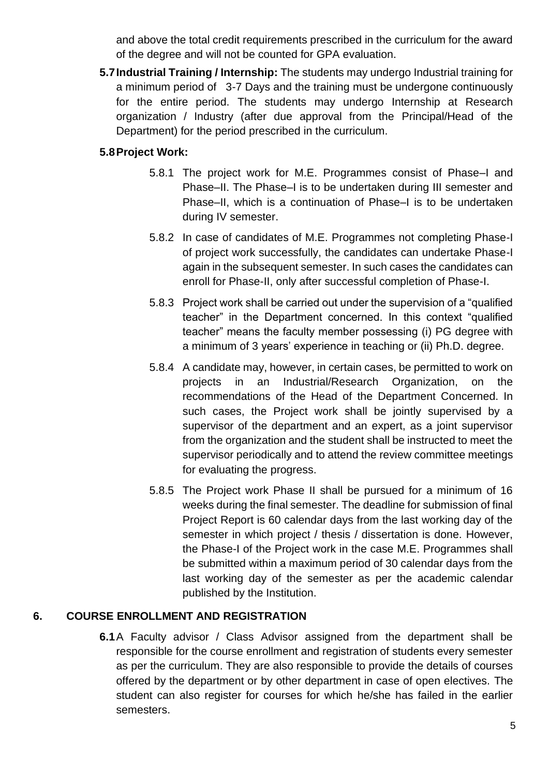and above the total credit requirements prescribed in the curriculum for the award of the degree and will not be counted for GPA evaluation.

**5.7Industrial Training / Internship:** The students may undergo Industrial training for a minimum period of 3-7 Days and the training must be undergone continuously for the entire period. The students may undergo Internship at Research organization / Industry (after due approval from the Principal/Head of the Department) for the period prescribed in the curriculum.

#### **5.8Project Work:**

- 5.8.1 The project work for M.E. Programmes consist of Phase–I and Phase–II. The Phase–I is to be undertaken during III semester and Phase–II, which is a continuation of Phase–I is to be undertaken during IV semester.
- 5.8.2 In case of candidates of M.E. Programmes not completing Phase-I of project work successfully, the candidates can undertake Phase-I again in the subsequent semester. In such cases the candidates can enroll for Phase-II, only after successful completion of Phase-I.
- 5.8.3 Project work shall be carried out under the supervision of a "qualified teacher" in the Department concerned. In this context "qualified teacher" means the faculty member possessing (i) PG degree with a minimum of 3 years' experience in teaching or (ii) Ph.D. degree.
- 5.8.4 A candidate may, however, in certain cases, be permitted to work on projects in an Industrial/Research Organization, on the recommendations of the Head of the Department Concerned. In such cases, the Project work shall be jointly supervised by a supervisor of the department and an expert, as a joint supervisor from the organization and the student shall be instructed to meet the supervisor periodically and to attend the review committee meetings for evaluating the progress.
- 5.8.5 The Project work Phase II shall be pursued for a minimum of 16 weeks during the final semester. The deadline for submission of final Project Report is 60 calendar days from the last working day of the semester in which project / thesis / dissertation is done. However, the Phase-I of the Project work in the case M.E. Programmes shall be submitted within a maximum period of 30 calendar days from the last working day of the semester as per the academic calendar published by the Institution.

# **6. COURSE ENROLLMENT AND REGISTRATION**

**6.1**A Faculty advisor / Class Advisor assigned from the department shall be responsible for the course enrollment and registration of students every semester as per the curriculum. They are also responsible to provide the details of courses offered by the department or by other department in case of open electives. The student can also register for courses for which he/she has failed in the earlier semesters.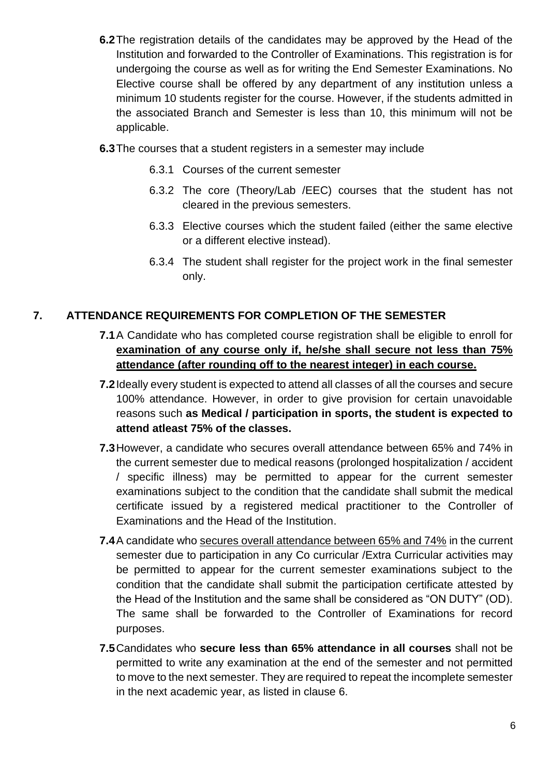- **6.2**The registration details of the candidates may be approved by the Head of the Institution and forwarded to the Controller of Examinations. This registration is for undergoing the course as well as for writing the End Semester Examinations. No Elective course shall be offered by any department of any institution unless a minimum 10 students register for the course. However, if the students admitted in the associated Branch and Semester is less than 10, this minimum will not be applicable.
- **6.3**The courses that a student registers in a semester may include
	- 6.3.1 Courses of the current semester
	- 6.3.2 The core (Theory/Lab /EEC) courses that the student has not cleared in the previous semesters.
	- 6.3.3 Elective courses which the student failed (either the same elective or a different elective instead).
	- 6.3.4 The student shall register for the project work in the final semester only.

# **7. ATTENDANCE REQUIREMENTS FOR COMPLETION OF THE SEMESTER**

- **7.1**A Candidate who has completed course registration shall be eligible to enroll for **examination of any course only if, he/she shall secure not less than 75% attendance (after rounding off to the nearest integer) in each course.**
- **7.2**Ideally every student is expected to attend all classes of all the courses and secure 100% attendance. However, in order to give provision for certain unavoidable reasons such **as Medical / participation in sports, the student is expected to attend atleast 75% of the classes.**
- **7.3**However, a candidate who secures overall attendance between 65% and 74% in the current semester due to medical reasons (prolonged hospitalization / accident / specific illness) may be permitted to appear for the current semester examinations subject to the condition that the candidate shall submit the medical certificate issued by a registered medical practitioner to the Controller of Examinations and the Head of the Institution.
- **7.4**A candidate who secures overall attendance between 65% and 74% in the current semester due to participation in any Co curricular /Extra Curricular activities may be permitted to appear for the current semester examinations subject to the condition that the candidate shall submit the participation certificate attested by the Head of the Institution and the same shall be considered as "ON DUTY" (OD). The same shall be forwarded to the Controller of Examinations for record purposes.
- **7.5**Candidates who **secure less than 65% attendance in all courses** shall not be permitted to write any examination at the end of the semester and not permitted to move to the next semester. They are required to repeat the incomplete semester in the next academic year, as listed in clause 6.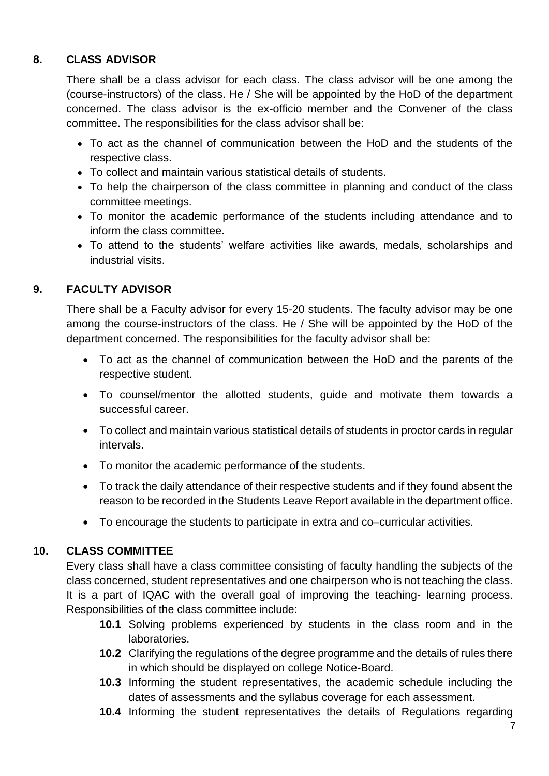# **8. CLASS ADVISOR**

There shall be a class advisor for each class. The class advisor will be one among the (course-instructors) of the class. He / She will be appointed by the HoD of the department concerned. The class advisor is the ex-officio member and the Convener of the class committee. The responsibilities for the class advisor shall be:

- To act as the channel of communication between the HoD and the students of the respective class.
- To collect and maintain various statistical details of students.
- To help the chairperson of the class committee in planning and conduct of the class committee meetings.
- To monitor the academic performance of the students including attendance and to inform the class committee.
- To attend to the students' welfare activities like awards, medals, scholarships and industrial visits.

#### **9. FACULTY ADVISOR**

There shall be a Faculty advisor for every 15-20 students. The faculty advisor may be one among the course-instructors of the class. He / She will be appointed by the HoD of the department concerned. The responsibilities for the faculty advisor shall be:

- To act as the channel of communication between the HoD and the parents of the respective student.
- To counsel/mentor the allotted students, guide and motivate them towards a successful career.
- To collect and maintain various statistical details of students in proctor cards in regular intervals.
- To monitor the academic performance of the students.
- To track the daily attendance of their respective students and if they found absent the reason to be recorded in the Students Leave Report available in the department office.
- To encourage the students to participate in extra and co–curricular activities.

#### **10. CLASS COMMITTEE**

Every class shall have a class committee consisting of faculty handling the subjects of the class concerned, student representatives and one chairperson who is not teaching the class. It is a part of IQAC with the overall goal of improving the teaching- learning process. Responsibilities of the class committee include:

- **10.1** Solving problems experienced by students in the class room and in the laboratories.
- **10.2** Clarifying the regulations of the degree programme and the details of rules there in which should be displayed on college Notice-Board.
- **10.3** Informing the student representatives, the academic schedule including the dates of assessments and the syllabus coverage for each assessment.
- **10.4** Informing the student representatives the details of Regulations regarding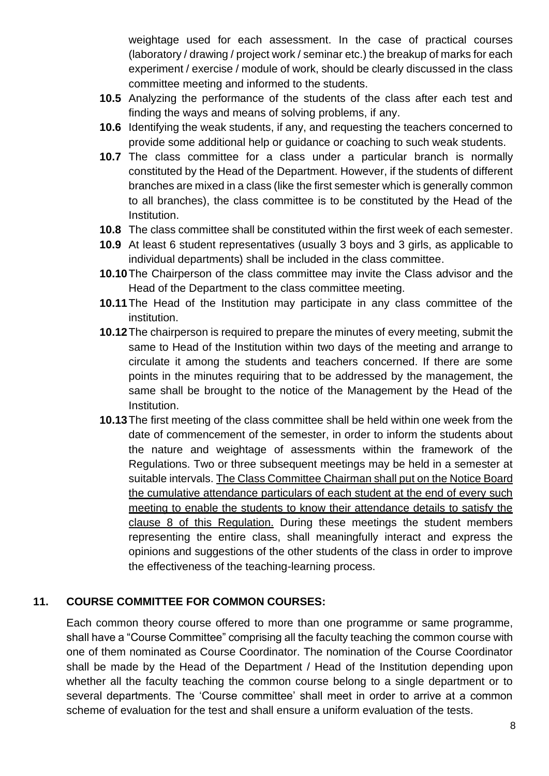weightage used for each assessment. In the case of practical courses (laboratory / drawing / project work / seminar etc.) the breakup of marks for each experiment / exercise / module of work, should be clearly discussed in the class committee meeting and informed to the students.

- **10.5** Analyzing the performance of the students of the class after each test and finding the ways and means of solving problems, if any.
- **10.6** Identifying the weak students, if any, and requesting the teachers concerned to provide some additional help or guidance or coaching to such weak students.
- **10.7** The class committee for a class under a particular branch is normally constituted by the Head of the Department. However, if the students of different branches are mixed in a class (like the first semester which is generally common to all branches), the class committee is to be constituted by the Head of the Institution.
- **10.8** The class committee shall be constituted within the first week of each semester.
- **10.9** At least 6 student representatives (usually 3 boys and 3 girls, as applicable to individual departments) shall be included in the class committee.
- **10.10**The Chairperson of the class committee may invite the Class advisor and the Head of the Department to the class committee meeting.
- **10.11**The Head of the Institution may participate in any class committee of the institution.
- **10.12**The chairperson is required to prepare the minutes of every meeting, submit the same to Head of the Institution within two days of the meeting and arrange to circulate it among the students and teachers concerned. If there are some points in the minutes requiring that to be addressed by the management, the same shall be brought to the notice of the Management by the Head of the Institution.
- **10.13**The first meeting of the class committee shall be held within one week from the date of commencement of the semester, in order to inform the students about the nature and weightage of assessments within the framework of the Regulations. Two or three subsequent meetings may be held in a semester at suitable intervals. The Class Committee Chairman shall put on the Notice Board the cumulative attendance particulars of each student at the end of every such meeting to enable the students to know their attendance details to satisfy the clause 8 of this Regulation. During these meetings the student members representing the entire class, shall meaningfully interact and express the opinions and suggestions of the other students of the class in order to improve the effectiveness of the teaching-learning process.

# **11. COURSE COMMITTEE FOR COMMON COURSES:**

Each common theory course offered to more than one programme or same programme, shall have a "Course Committee" comprising all the faculty teaching the common course with one of them nominated as Course Coordinator. The nomination of the Course Coordinator shall be made by the Head of the Department / Head of the Institution depending upon whether all the faculty teaching the common course belong to a single department or to several departments. The 'Course committee' shall meet in order to arrive at a common scheme of evaluation for the test and shall ensure a uniform evaluation of the tests.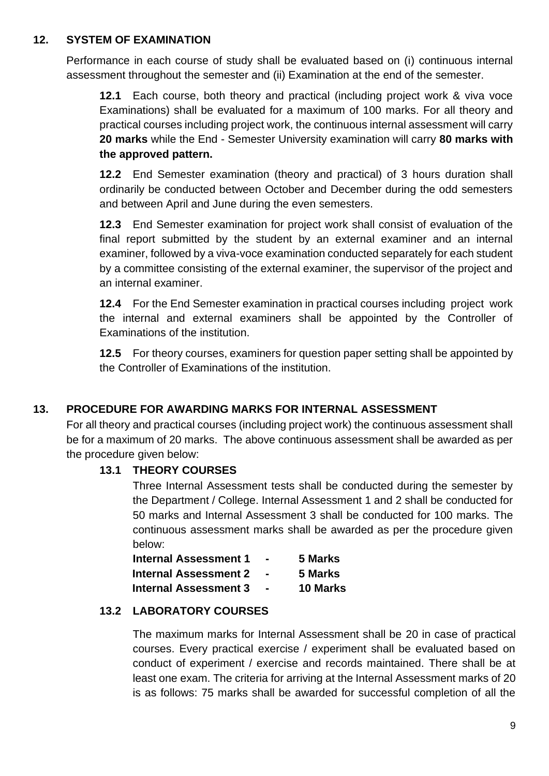#### **12. SYSTEM OF EXAMINATION**

Performance in each course of study shall be evaluated based on (i) continuous internal assessment throughout the semester and (ii) Examination at the end of the semester.

**12.1** Each course, both theory and practical (including project work & viva voce Examinations) shall be evaluated for a maximum of 100 marks. For all theory and practical courses including project work, the continuous internal assessment will carry **20 marks** while the End - Semester University examination will carry **80 marks with the approved pattern.**

**12.2** End Semester examination (theory and practical) of 3 hours duration shall ordinarily be conducted between October and December during the odd semesters and between April and June during the even semesters.

**12.3** End Semester examination for project work shall consist of evaluation of the final report submitted by the student by an external examiner and an internal examiner, followed by a viva-voce examination conducted separately for each student by a committee consisting of the external examiner, the supervisor of the project and an internal examiner.

**12.4** For the End Semester examination in practical courses including project work the internal and external examiners shall be appointed by the Controller of Examinations of the institution.

**12.5** For theory courses, examiners for question paper setting shall be appointed by the Controller of Examinations of the institution.

# **13. PROCEDURE FOR AWARDING MARKS FOR INTERNAL ASSESSMENT**

For all theory and practical courses (including project work) the continuous assessment shall be for a maximum of 20 marks. The above continuous assessment shall be awarded as per the procedure given below:

#### **13.1 THEORY COURSES**

Three Internal Assessment tests shall be conducted during the semester by the Department / College. Internal Assessment 1 and 2 shall be conducted for 50 marks and Internal Assessment 3 shall be conducted for 100 marks. The continuous assessment marks shall be awarded as per the procedure given below:

| <b>Internal Assessment 1</b> | $\blacksquare$ | 5 Marks         |
|------------------------------|----------------|-----------------|
| <b>Internal Assessment 2</b> |                | 5 Marks         |
| <b>Internal Assessment 3</b> | $\blacksquare$ | <b>10 Marks</b> |

#### **13.2 LABORATORY COURSES**

The maximum marks for Internal Assessment shall be 20 in case of practical courses. Every practical exercise / experiment shall be evaluated based on conduct of experiment / exercise and records maintained. There shall be at least one exam. The criteria for arriving at the Internal Assessment marks of 20 is as follows: 75 marks shall be awarded for successful completion of all the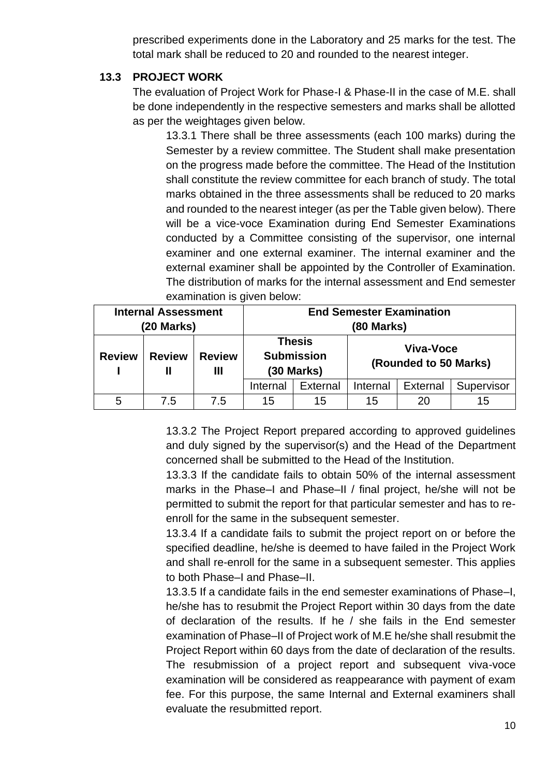prescribed experiments done in the Laboratory and 25 marks for the test. The total mark shall be reduced to 20 and rounded to the nearest integer.

#### **13.3 PROJECT WORK**

The evaluation of Project Work for Phase-I & Phase-II in the case of M.E. shall be done independently in the respective semesters and marks shall be allotted as per the weightages given below.

13.3.1 There shall be three assessments (each 100 marks) during the Semester by a review committee. The Student shall make presentation on the progress made before the committee. The Head of the Institution shall constitute the review committee for each branch of study. The total marks obtained in the three assessments shall be reduced to 20 marks and rounded to the nearest integer (as per the Table given below). There will be a vice-voce Examination during End Semester Examinations conducted by a Committee consisting of the supervisor, one internal examiner and one external examiner. The internal examiner and the external examiner shall be appointed by the Controller of Examination. The distribution of marks for the internal assessment and End semester examination is given below:

| <b>Internal Assessment</b><br>(20 Marks) |                     |                    | <b>End Semester Examination</b><br>(80 Marks)      |          |          |                                    |            |
|------------------------------------------|---------------------|--------------------|----------------------------------------------------|----------|----------|------------------------------------|------------|
| <b>Review</b>                            | <b>Review</b><br>II | <b>Review</b><br>Ш | <b>Thesis</b><br><b>Submission</b><br>$(30$ Marks) |          |          | Viva-Voce<br>(Rounded to 50 Marks) |            |
|                                          |                     |                    | Internal                                           | External | Internal | <b>External</b>                    | Supervisor |
| 5                                        | 7.5                 | 7.5                | 15                                                 | 15       | 15       | 20                                 | 15         |

13.3.2 The Project Report prepared according to approved guidelines and duly signed by the supervisor(s) and the Head of the Department concerned shall be submitted to the Head of the Institution.

13.3.3 If the candidate fails to obtain 50% of the internal assessment marks in the Phase–I and Phase–II / final project, he/she will not be permitted to submit the report for that particular semester and has to reenroll for the same in the subsequent semester.

13.3.4 If a candidate fails to submit the project report on or before the specified deadline, he/she is deemed to have failed in the Project Work and shall re-enroll for the same in a subsequent semester. This applies to both Phase–I and Phase–II.

13.3.5 If a candidate fails in the end semester examinations of Phase–I, he/she has to resubmit the Project Report within 30 days from the date of declaration of the results. If he / she fails in the End semester examination of Phase–II of Project work of M.E he/she shall resubmit the Project Report within 60 days from the date of declaration of the results. The resubmission of a project report and subsequent viva-voce examination will be considered as reappearance with payment of exam fee. For this purpose, the same Internal and External examiners shall evaluate the resubmitted report.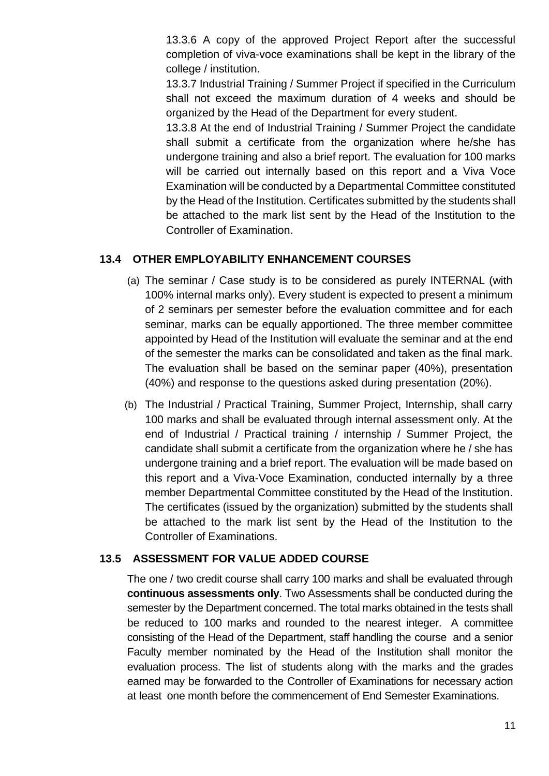13.3.6 A copy of the approved Project Report after the successful completion of viva-voce examinations shall be kept in the library of the college / institution.

13.3.7 Industrial Training / Summer Project if specified in the Curriculum shall not exceed the maximum duration of 4 weeks and should be organized by the Head of the Department for every student.

13.3.8 At the end of Industrial Training / Summer Project the candidate shall submit a certificate from the organization where he/she has undergone training and also a brief report. The evaluation for 100 marks will be carried out internally based on this report and a Viva Voce Examination will be conducted by a Departmental Committee constituted by the Head of the Institution. Certificates submitted by the students shall be attached to the mark list sent by the Head of the Institution to the Controller of Examination.

#### **13.4 OTHER EMPLOYABILITY ENHANCEMENT COURSES**

- (a) The seminar / Case study is to be considered as purely INTERNAL (with 100% internal marks only). Every student is expected to present a minimum of 2 seminars per semester before the evaluation committee and for each seminar, marks can be equally apportioned. The three member committee appointed by Head of the Institution will evaluate the seminar and at the end of the semester the marks can be consolidated and taken as the final mark. The evaluation shall be based on the seminar paper (40%), presentation (40%) and response to the questions asked during presentation (20%).
- (b) The Industrial / Practical Training, Summer Project, Internship, shall carry 100 marks and shall be evaluated through internal assessment only. At the end of Industrial / Practical training / internship / Summer Project, the candidate shall submit a certificate from the organization where he / she has undergone training and a brief report. The evaluation will be made based on this report and a Viva-Voce Examination, conducted internally by a three member Departmental Committee constituted by the Head of the Institution. The certificates (issued by the organization) submitted by the students shall be attached to the mark list sent by the Head of the Institution to the Controller of Examinations.

#### **13.5 ASSESSMENT FOR VALUE ADDED COURSE**

The one / two credit course shall carry 100 marks and shall be evaluated through **continuous assessments only**. Two Assessments shall be conducted during the semester by the Department concerned. The total marks obtained in the tests shall be reduced to 100 marks and rounded to the nearest integer. A committee consisting of the Head of the Department, staff handling the course and a senior Faculty member nominated by the Head of the Institution shall monitor the evaluation process. The list of students along with the marks and the grades earned may be forwarded to the Controller of Examinations for necessary action at least one month before the commencement of End Semester Examinations.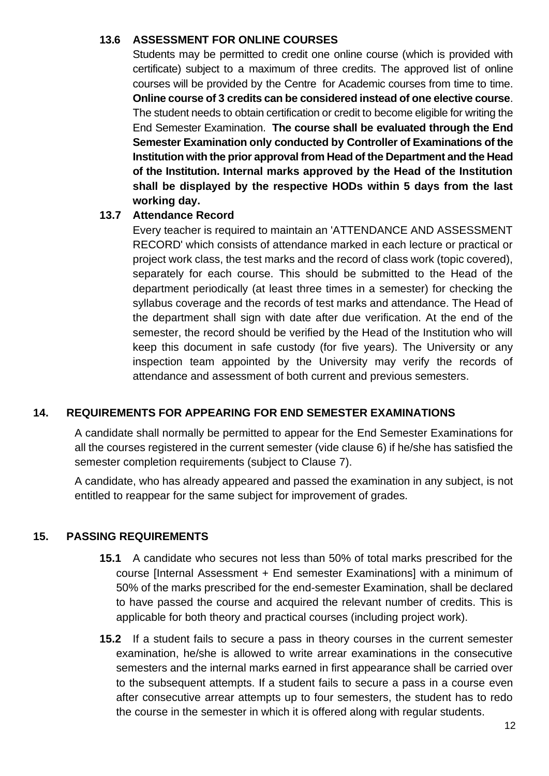#### **13.6 ASSESSMENT FOR ONLINE COURSES**

Students may be permitted to credit one online course (which is provided with certificate) subject to a maximum of three credits. The approved list of online courses will be provided by the Centre for Academic courses from time to time. **Online course of 3 credits can be considered instead of one elective course**. The student needs to obtain certification or credit to become eligible for writing the End Semester Examination. **The course shall be evaluated through the End Semester Examination only conducted by Controller of Examinations of the Institution with the prior approval from Head of the Department and the Head of the Institution. Internal marks approved by the Head of the Institution shall be displayed by the respective HODs within 5 days from the last working day.**

#### **13.7 Attendance Record**

Every teacher is required to maintain an 'ATTENDANCE AND ASSESSMENT RECORD' which consists of attendance marked in each lecture or practical or project work class, the test marks and the record of class work (topic covered), separately for each course. This should be submitted to the Head of the department periodically (at least three times in a semester) for checking the syllabus coverage and the records of test marks and attendance. The Head of the department shall sign with date after due verification. At the end of the semester, the record should be verified by the Head of the Institution who will keep this document in safe custody (for five years). The University or any inspection team appointed by the University may verify the records of attendance and assessment of both current and previous semesters.

#### **14. REQUIREMENTS FOR APPEARING FOR END SEMESTER EXAMINATIONS**

A candidate shall normally be permitted to appear for the End Semester Examinations for all the courses registered in the current semester (vide clause 6) if he/she has satisfied the semester completion requirements (subject to Clause 7).

A candidate, who has already appeared and passed the examination in any subject, is not entitled to reappear for the same subject for improvement of grades.

# **15. PASSING REQUIREMENTS**

- **15.1** A candidate who secures not less than 50% of total marks prescribed for the course [Internal Assessment + End semester Examinations] with a minimum of 50% of the marks prescribed for the end-semester Examination, shall be declared to have passed the course and acquired the relevant number of credits. This is applicable for both theory and practical courses (including project work).
- **15.2** If a student fails to secure a pass in theory courses in the current semester examination, he/she is allowed to write arrear examinations in the consecutive semesters and the internal marks earned in first appearance shall be carried over to the subsequent attempts. If a student fails to secure a pass in a course even after consecutive arrear attempts up to four semesters, the student has to redo the course in the semester in which it is offered along with regular students.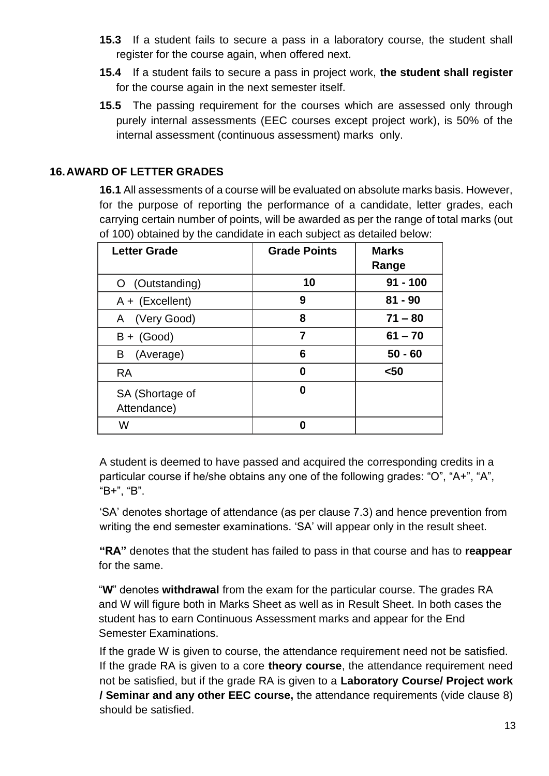- **15.3** If a student fails to secure a pass in a laboratory course, the student shall register for the course again, when offered next.
- **15.4** If a student fails to secure a pass in project work, **the student shall register**  for the course again in the next semester itself.
- **15.5** The passing requirement for the courses which are assessed only through purely internal assessments (EEC courses except project work), is 50% of the internal assessment (continuous assessment) marks only.

# **16.AWARD OF LETTER GRADES**

**16.1** All assessments of a course will be evaluated on absolute marks basis. However, for the purpose of reporting the performance of a candidate, letter grades, each carrying certain number of points, will be awarded as per the range of total marks (out of 100) obtained by the candidate in each subject as detailed below:

| <b>Letter Grade</b> | <b>Grade Points</b> | <b>Marks</b> |
|---------------------|---------------------|--------------|
|                     |                     | Range        |
| (Outstanding)<br>O  | 10                  | $91 - 100$   |
| $A + (Excellent)$   | 9                   | $81 - 90$    |
| A (Very Good)       | 8                   | $71 - 80$    |
| $B + (Good)$        | 7                   | $61 - 70$    |
| B<br>(Average)      | 6                   | $50 - 60$    |
| <b>RA</b>           | 0                   | $50$         |
| SA (Shortage of     | 0                   |              |
| Attendance)         |                     |              |
| w                   | Ω                   |              |

A student is deemed to have passed and acquired the corresponding credits in a particular course if he/she obtains any one of the following grades: "O", "A+", "A", "B+", "B".

'SA' denotes shortage of attendance (as per clause 7.3) and hence prevention from writing the end semester examinations. 'SA' will appear only in the result sheet.

**"RA"** denotes that the student has failed to pass in that course and has to **reappear** for the same.

"**W**" denotes **withdrawal** from the exam for the particular course. The grades RA and W will figure both in Marks Sheet as well as in Result Sheet. In both cases the student has to earn Continuous Assessment marks and appear for the End Semester Examinations.

If the grade W is given to course, the attendance requirement need not be satisfied. If the grade RA is given to a core **theory course**, the attendance requirement need not be satisfied, but if the grade RA is given to a **Laboratory Course/ Project work / Seminar and any other EEC course,** the attendance requirements (vide clause 8) should be satisfied.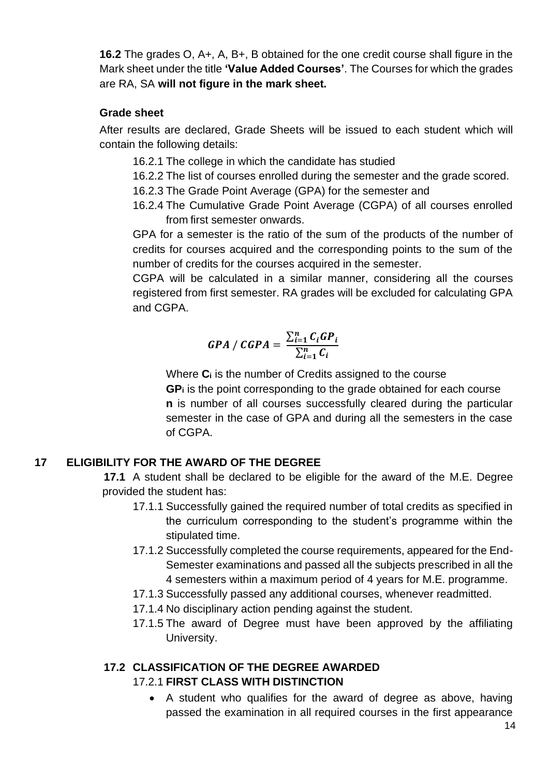**16.2** The grades O, A+, A, B+, B obtained for the one credit course shall figure in the Mark sheet under the title **'Value Added Courses'**. The Courses for which the grades are RA, SA **will not figure in the mark sheet.**

#### **Grade sheet**

After results are declared, Grade Sheets will be issued to each student which will contain the following details:

- 16.2.1 The college in which the candidate has studied
- 16.2.2 The list of courses enrolled during the semester and the grade scored.
- 16.2.3 The Grade Point Average (GPA) for the semester and
- 16.2.4 The Cumulative Grade Point Average (CGPA) of all courses enrolled from first semester onwards.

GPA for a semester is the ratio of the sum of the products of the number of credits for courses acquired and the corresponding points to the sum of the number of credits for the courses acquired in the semester.

CGPA will be calculated in a similar manner, considering all the courses registered from first semester. RA grades will be excluded for calculating GPA and CGPA.

$$
GPA / CGPA = \frac{\sum_{i=1}^{n} C_i GP_i}{\sum_{i=1}^{n} C_i}
$$

Where **C<sup>i</sup>** is the number of Credits assigned to the course **GP<sup>i</sup>** is the point corresponding to the grade obtained for each course **n** is number of all courses successfully cleared during the particular semester in the case of GPA and during all the semesters in the case of CGPA.

# **17 ELIGIBILITY FOR THE AWARD OF THE DEGREE**

**17.1** A student shall be declared to be eligible for the award of the M.E. Degree provided the student has:

- 17.1.1 Successfully gained the required number of total credits as specified in the curriculum corresponding to the student's programme within the stipulated time.
- 17.1.2 Successfully completed the course requirements, appeared for the End-Semester examinations and passed all the subjects prescribed in all the 4 semesters within a maximum period of 4 years for M.E. programme.
- 17.1.3 Successfully passed any additional courses, whenever readmitted.
- 17.1.4 No disciplinary action pending against the student.
- 17.1.5 The award of Degree must have been approved by the affiliating University.

#### **17.2 CLASSIFICATION OF THE DEGREE AWARDED** 17.2.1 **FIRST CLASS WITH DISTINCTION**

• A student who qualifies for the award of degree as above, having passed the examination in all required courses in the first appearance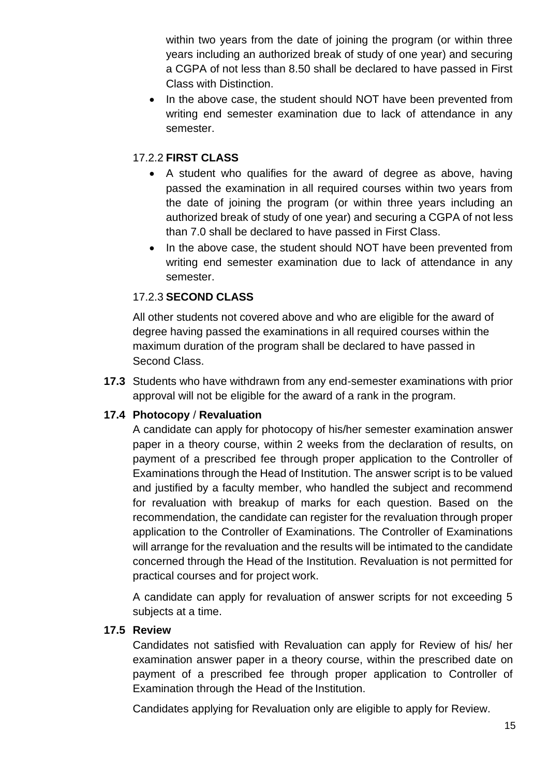within two years from the date of joining the program (or within three years including an authorized break of study of one year) and securing a CGPA of not less than 8.50 shall be declared to have passed in First Class with Distinction.

• In the above case, the student should NOT have been prevented from writing end semester examination due to lack of attendance in any semester.

### 17.2.2 **FIRST CLASS**

- A student who qualifies for the award of degree as above, having passed the examination in all required courses within two years from the date of joining the program (or within three years including an authorized break of study of one year) and securing a CGPA of not less than 7.0 shall be declared to have passed in First Class.
- In the above case, the student should NOT have been prevented from writing end semester examination due to lack of attendance in any semester.

# 17.2.3 **SECOND CLASS**

All other students not covered above and who are eligible for the award of degree having passed the examinations in all required courses within the maximum duration of the program shall be declared to have passed in Second Class.

**17.3** Students who have withdrawn from any end-semester examinations with prior approval will not be eligible for the award of a rank in the program.

#### **17.4 Photocopy** / **Revaluation**

A candidate can apply for photocopy of his/her semester examination answer paper in a theory course, within 2 weeks from the declaration of results, on payment of a prescribed fee through proper application to the Controller of Examinations through the Head of Institution. The answer script is to be valued and justified by a faculty member, who handled the subject and recommend for revaluation with breakup of marks for each question. Based on the recommendation, the candidate can register for the revaluation through proper application to the Controller of Examinations. The Controller of Examinations will arrange for the revaluation and the results will be intimated to the candidate concerned through the Head of the Institution. Revaluation is not permitted for practical courses and for project work.

A candidate can apply for revaluation of answer scripts for not exceeding 5 subjects at a time.

#### **17.5 Review**

Candidates not satisfied with Revaluation can apply for Review of his/ her examination answer paper in a theory course, within the prescribed date on payment of a prescribed fee through proper application to Controller of Examination through the Head of the Institution.

Candidates applying for Revaluation only are eligible to apply for Review.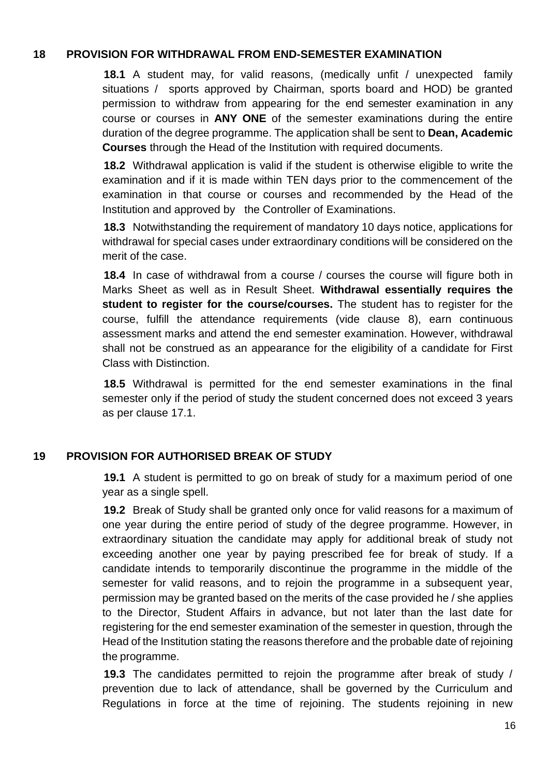#### **18 PROVISION FOR WITHDRAWAL FROM END-SEMESTER EXAMINATION**

**18.1** A student may, for valid reasons, (medically unfit / unexpected family situations / sports approved by Chairman, sports board and HOD) be granted permission to withdraw from appearing for the end semester examination in any course or courses in **ANY ONE** of the semester examinations during the entire duration of the degree programme. The application shall be sent to **Dean, Academic Courses** through the Head of the Institution with required documents.

**18.2** Withdrawal application is valid if the student is otherwise eligible to write the examination and if it is made within TEN days prior to the commencement of the examination in that course or courses and recommended by the Head of the Institution and approved by the Controller of Examinations.

**18.3** Notwithstanding the requirement of mandatory 10 days notice, applications for withdrawal for special cases under extraordinary conditions will be considered on the merit of the case.

**18.4** In case of withdrawal from a course / courses the course will figure both in Marks Sheet as well as in Result Sheet. **Withdrawal essentially requires the student to register for the course/courses.** The student has to register for the course, fulfill the attendance requirements (vide clause 8), earn continuous assessment marks and attend the end semester examination. However, withdrawal shall not be construed as an appearance for the eligibility of a candidate for First Class with Distinction.

**18.5** Withdrawal is permitted for the end semester examinations in the final semester only if the period of study the student concerned does not exceed 3 years as per clause 17.1.

#### **19 PROVISION FOR AUTHORISED BREAK OF STUDY**

**19.1** A student is permitted to go on break of study for a maximum period of one year as a single spell.

**19.2** Break of Study shall be granted only once for valid reasons for a maximum of one year during the entire period of study of the degree programme. However, in extraordinary situation the candidate may apply for additional break of study not exceeding another one year by paying prescribed fee for break of study. If a candidate intends to temporarily discontinue the programme in the middle of the semester for valid reasons, and to rejoin the programme in a subsequent year, permission may be granted based on the merits of the case provided he / she applies to the Director, Student Affairs in advance, but not later than the last date for registering for the end semester examination of the semester in question, through the Head of the Institution stating the reasons therefore and the probable date of rejoining the programme.

**19.3** The candidates permitted to rejoin the programme after break of study / prevention due to lack of attendance, shall be governed by the Curriculum and Regulations in force at the time of rejoining. The students rejoining in new